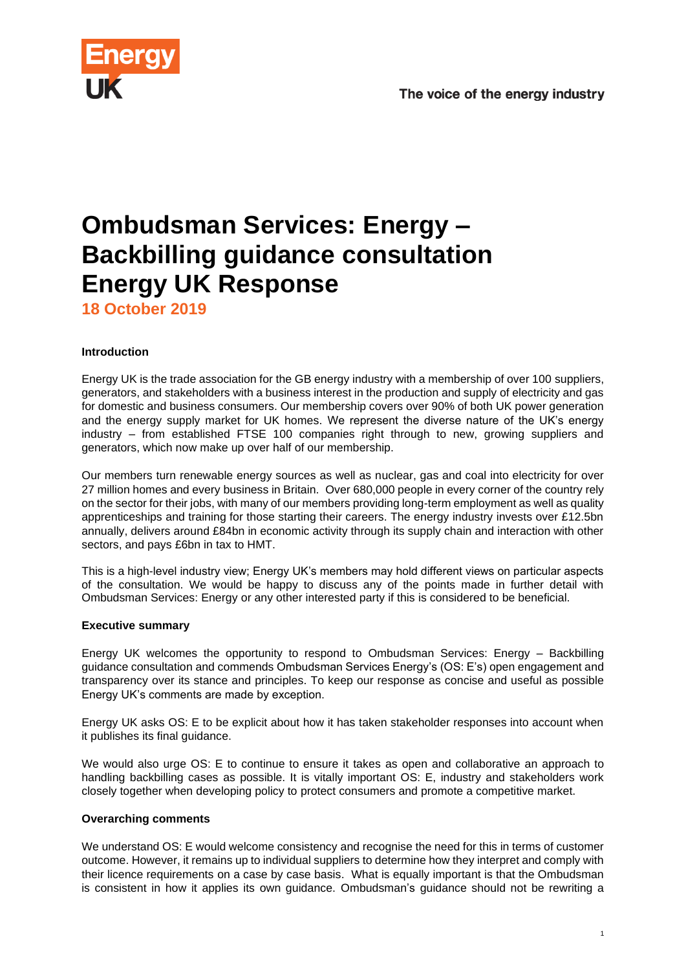

# **Ombudsman Services: Energy – Backbilling guidance consultation Energy UK Response**

**18 October 2019**

# **Introduction**

Energy UK is the trade association for the GB energy industry with a membership of over 100 suppliers, generators, and stakeholders with a business interest in the production and supply of electricity and gas for domestic and business consumers. Our membership covers over 90% of both UK power generation and the energy supply market for UK homes. We represent the diverse nature of the UK's energy industry – from established FTSE 100 companies right through to new, growing suppliers and generators, which now make up over half of our membership.

Our members turn renewable energy sources as well as nuclear, gas and coal into electricity for over 27 million homes and every business in Britain. Over 680,000 people in every corner of the country rely on the sector for their jobs, with many of our members providing long-term employment as well as quality apprenticeships and training for those starting their careers. The energy industry invests over £12.5bn annually, delivers around £84bn in economic activity through its supply chain and interaction with other sectors, and pays £6bn in tax to HMT.

This is a high-level industry view; Energy UK's members may hold different views on particular aspects of the consultation. We would be happy to discuss any of the points made in further detail with Ombudsman Services: Energy or any other interested party if this is considered to be beneficial.

# **Executive summary**

Energy UK welcomes the opportunity to respond to Ombudsman Services: Energy – Backbilling guidance consultation and commends Ombudsman Services Energy's (OS: E's) open engagement and transparency over its stance and principles. To keep our response as concise and useful as possible Energy UK's comments are made by exception.

Energy UK asks OS: E to be explicit about how it has taken stakeholder responses into account when it publishes its final guidance.

We would also urge OS: E to continue to ensure it takes as open and collaborative an approach to handling backbilling cases as possible. It is vitally important OS: E, industry and stakeholders work closely together when developing policy to protect consumers and promote a competitive market.

# **Overarching comments**

We understand OS: E would welcome consistency and recognise the need for this in terms of customer outcome. However, it remains up to individual suppliers to determine how they interpret and comply with their licence requirements on a case by case basis. What is equally important is that the Ombudsman is consistent in how it applies its own guidance. Ombudsman's guidance should not be rewriting a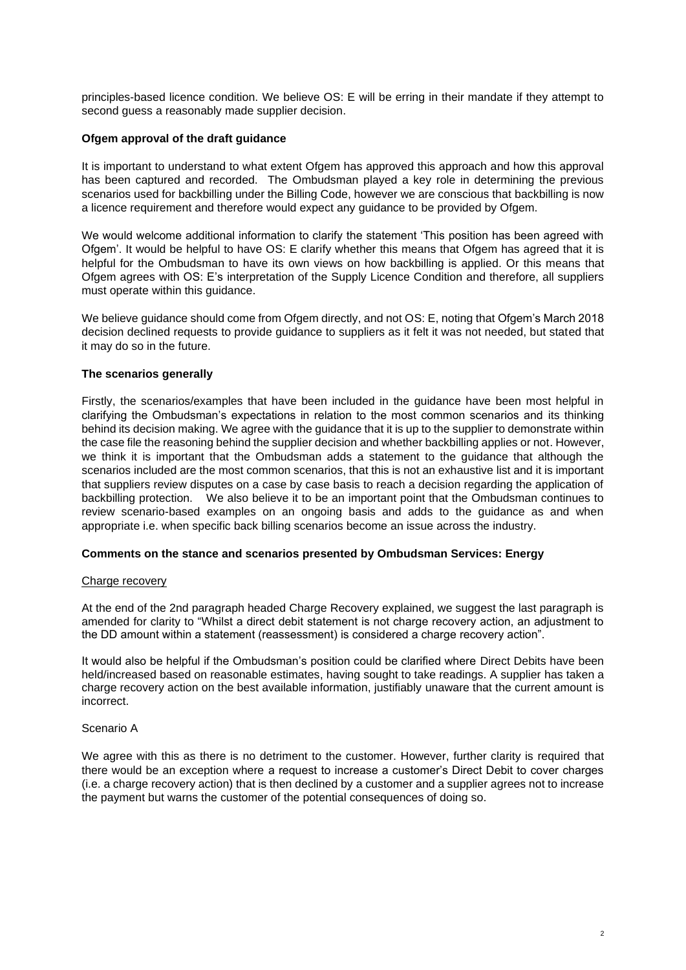principles-based licence condition. We believe OS: E will be erring in their mandate if they attempt to second guess a reasonably made supplier decision.

#### **Ofgem approval of the draft guidance**

It is important to understand to what extent Ofgem has approved this approach and how this approval has been captured and recorded. The Ombudsman played a key role in determining the previous scenarios used for backbilling under the Billing Code, however we are conscious that backbilling is now a licence requirement and therefore would expect any guidance to be provided by Ofgem.

We would welcome additional information to clarify the statement 'This position has been agreed with Ofgem'. It would be helpful to have OS: E clarify whether this means that Ofgem has agreed that it is helpful for the Ombudsman to have its own views on how backbilling is applied. Or this means that Ofgem agrees with OS: E's interpretation of the Supply Licence Condition and therefore, all suppliers must operate within this guidance.

We believe guidance should come from Ofgem directly, and not OS: E, noting that Ofgem's March 2018 decision declined requests to provide guidance to suppliers as it felt it was not needed, but stated that it may do so in the future.

## **The scenarios generally**

Firstly, the scenarios/examples that have been included in the guidance have been most helpful in clarifying the Ombudsman's expectations in relation to the most common scenarios and its thinking behind its decision making. We agree with the guidance that it is up to the supplier to demonstrate within the case file the reasoning behind the supplier decision and whether backbilling applies or not. However, we think it is important that the Ombudsman adds a statement to the guidance that although the scenarios included are the most common scenarios, that this is not an exhaustive list and it is important that suppliers review disputes on a case by case basis to reach a decision regarding the application of backbilling protection. We also believe it to be an important point that the Ombudsman continues to review scenario-based examples on an ongoing basis and adds to the guidance as and when appropriate i.e. when specific back billing scenarios become an issue across the industry.

#### **Comments on the stance and scenarios presented by Ombudsman Services: Energy**

#### Charge recovery

At the end of the 2nd paragraph headed Charge Recovery explained, we suggest the last paragraph is amended for clarity to "Whilst a direct debit statement is not charge recovery action, an adjustment to the DD amount within a statement (reassessment) is considered a charge recovery action".

It would also be helpful if the Ombudsman's position could be clarified where Direct Debits have been held/increased based on reasonable estimates, having sought to take readings. A supplier has taken a charge recovery action on the best available information, justifiably unaware that the current amount is incorrect.

## Scenario A

We agree with this as there is no detriment to the customer. However, further clarity is required that there would be an exception where a request to increase a customer's Direct Debit to cover charges (i.e. a charge recovery action) that is then declined by a customer and a supplier agrees not to increase the payment but warns the customer of the potential consequences of doing so.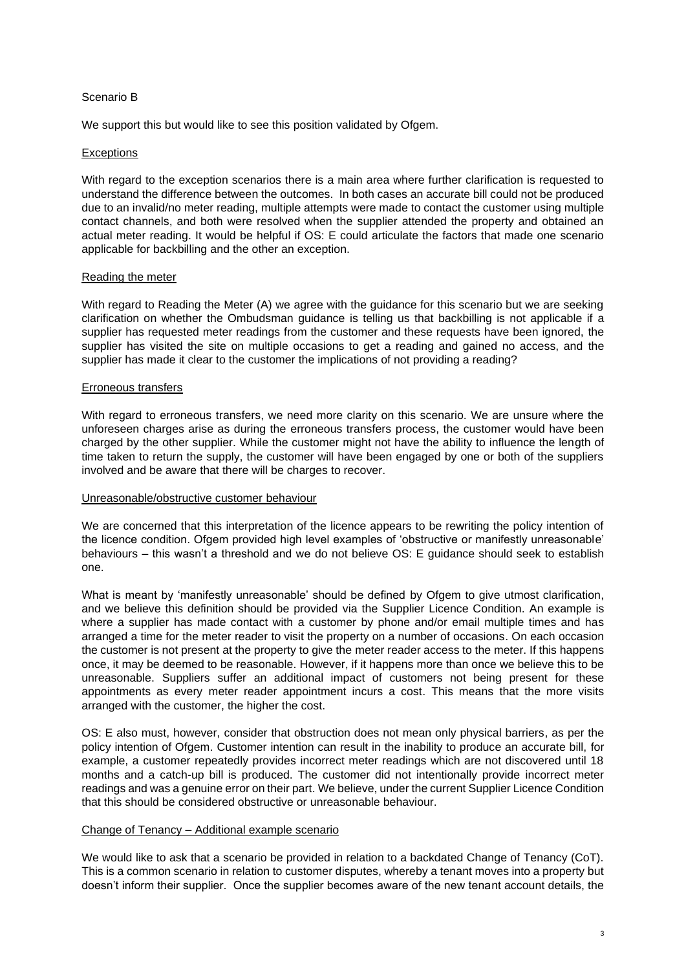## Scenario B

We support this but would like to see this position validated by Ofgem.

## **Exceptions**

With regard to the exception scenarios there is a main area where further clarification is requested to understand the difference between the outcomes. In both cases an accurate bill could not be produced due to an invalid/no meter reading, multiple attempts were made to contact the customer using multiple contact channels, and both were resolved when the supplier attended the property and obtained an actual meter reading. It would be helpful if OS: E could articulate the factors that made one scenario applicable for backbilling and the other an exception.

## Reading the meter

With regard to Reading the Meter (A) we agree with the guidance for this scenario but we are seeking clarification on whether the Ombudsman guidance is telling us that backbilling is not applicable if a supplier has requested meter readings from the customer and these requests have been ignored, the supplier has visited the site on multiple occasions to get a reading and gained no access, and the supplier has made it clear to the customer the implications of not providing a reading?

## Erroneous transfers

With regard to erroneous transfers, we need more clarity on this scenario. We are unsure where the unforeseen charges arise as during the erroneous transfers process, the customer would have been charged by the other supplier. While the customer might not have the ability to influence the length of time taken to return the supply, the customer will have been engaged by one or both of the suppliers involved and be aware that there will be charges to recover.

#### Unreasonable/obstructive customer behaviour

We are concerned that this interpretation of the licence appears to be rewriting the policy intention of the licence condition. Ofgem provided high level examples of 'obstructive or manifestly unreasonable' behaviours – this wasn't a threshold and we do not believe OS: E guidance should seek to establish one.

What is meant by 'manifestly unreasonable' should be defined by Ofgem to give utmost clarification, and we believe this definition should be provided via the Supplier Licence Condition. An example is where a supplier has made contact with a customer by phone and/or email multiple times and has arranged a time for the meter reader to visit the property on a number of occasions. On each occasion the customer is not present at the property to give the meter reader access to the meter. If this happens once, it may be deemed to be reasonable. However, if it happens more than once we believe this to be unreasonable. Suppliers suffer an additional impact of customers not being present for these appointments as every meter reader appointment incurs a cost. This means that the more visits arranged with the customer, the higher the cost.

OS: E also must, however, consider that obstruction does not mean only physical barriers, as per the policy intention of Ofgem. Customer intention can result in the inability to produce an accurate bill, for example, a customer repeatedly provides incorrect meter readings which are not discovered until 18 months and a catch-up bill is produced. The customer did not intentionally provide incorrect meter readings and was a genuine error on their part. We believe, under the current Supplier Licence Condition that this should be considered obstructive or unreasonable behaviour.

#### Change of Tenancy – Additional example scenario

We would like to ask that a scenario be provided in relation to a backdated Change of Tenancy (CoT). This is a common scenario in relation to customer disputes, whereby a tenant moves into a property but doesn't inform their supplier. Once the supplier becomes aware of the new tenant account details, the